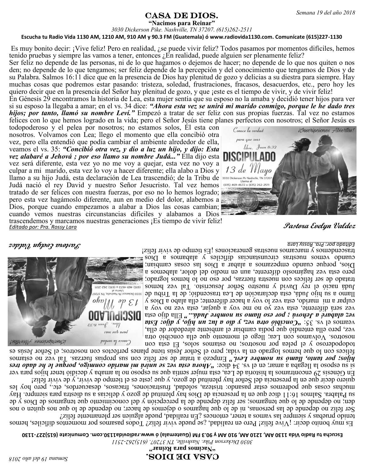# **CASA DE DIOS.** Semana 19 del año 2018

**"Nacimos para Reinar"** *3030 Dickerson Pike. Nashville, TN 37207. (615)262-2511*

### **Escucha tu Radio Vida 1130 AM, 1210 AM, 910 AM y 90.3 FM (Guatemala) ó www.radiovida1130.com. Comunícate (615)227-1130**

Es muy bonito decir: ¡Vive feliz! Pero en realidad, ¿se puede vivir feliz? Todos pasamos por momentos difíciles, hemos tenido pruebas y siempre las vamos a tener, entonces  $\chi$ En realidad, puede alguien ser plenamente feliz?

Ser feliz no depende de las personas, ni de lo que hagamos o dejemos de hacer; no depende de lo que nos quiten o nos den; no depende de lo que tengamos; ser feliz depende de la percepción y del conocimiento que tengamos de Dios y de su Palabra. Salmos 16:11 dice que en la presencia de Dios hay plenitud de gozo y delicias a su diestra para siempre. Hay muchas cosas que podremos estar pasando: tristeza, soledad, frustraciones, fracasos, desacuerdos, etc., pero hoy les quiero decir que en la presencia del Señor hay plenitud de gozo, y que ¡este es el tiempo de vivir, y de vivir feliz!

En Génesis 29 encontramos la historia de Lea, esta mujer sentía que su esposo no la amaba y decidió tener hijos para ver si su esposo la llegaba a amar; en el vs. 34 dice: *"Ahora esta vez se unirá mi marido conmigo, porque le he dado tres hijos; por tanto, llamó su nombre Leví."* Empezó a tratar de ser feliz con sus propias fuerzas. Tal vez no estamos felices con lo que hemos logrado en la vida; pero el Señor Jesús tiene planes perfectos con nosotros; el Señor Jesús es

*Editado por: Pra. Rossy Lara* **Pastora Evelyn Valdez** todopoderoso y el pelea por nosotros; no estamos solos, Él esta con nosotros. Volvamos con Lea; llego el momento que ella concibió otra vez, pero ella entendió que podía cambiar el ambiente alrededor de ella, veamos el vs. 35: *"Concibió otra vez, y dio a luz un hijo, y dijo: Esta vez alabaré a Jehová ; por eso llamo su nombre Judá..."* Ella dijo esta vez será diferente, esta vez yo no me voy a quejar, esta vez no voy a culpar a mi marido, esta vez lo voy a hacer diferente; ella alabo a Dios y llamo a su hijo Judá, esta declaración de Lea trascendió; de la Tribu de Judá nació el rey David y nuestro Señor Jesucristo. Tal vez hemos (615) 469-4672 o (615) 262-2511 tratado de ser felices con nuestra fuerzas, por eso no lo hemos logrado; pero esta vez hagámoslo diferente, aun en medio del dolor, alabemos a Dios, porque cuando empezamos a alabar a Dios las cosas cambian; cuando vemos nuestras circunstancias difíciles y alabamos a Dios trascendemos y marcamos nuestras generaciones ¡Es tiempo de vivir feliz!



**Pastora Evelyn Valdez** *Editado por: Pra. Rossy Lara* trascendemos y marcamos nuestras generaciones ¡Es tiempo de vivir feliz!todopoderoso y el pelea por nosotros; no estamos solos, Él esta con nosotros. Volvamos con Lea; llego el momento que ella concibió otra vez, pero ella entendió que podía cambiar el ambiente alrededor de ella, *Concibió dia vez, sep a luz un z un von d'aza vajo orgiouo d. : SE sa la souvea* **Ella dijo esta** *deloré a Jehové ; por esa llamo judár**" Ella esta esta esta diporte por esta* vez será diferente, esta vez yo no me voy a quejar, esta vez no voy a culpar a mi marido, esta vez lo voy a hacer diferente; ella alabo a Dios y llamo a su hujo Judá, esta declaración de Lea trascendió; de la Tribu de Judá nació el rey David y nuestro Señor Jesucristo. Tal vez hemos tratado de ser felices con nuestra fuerzas, por eso no lo hemos logrado; pero esta vez hagámoslo diferente, aun en medio del dolor, alabemos a Dios, porque cuando empezamos a alabar a Dios las cosas cambian; cuando vemos nuestras circunstancias difíciles  $\Lambda$  alabamos a Dios



quiero decir que en la presencia del Señor hay plenitud de gozo, y que ¡este es el tiempo de vivir y de vivir feliz! En Génesis 29 encontramos la historia de Lea, esta mujer sentía que su esposo no la amaba y decidió tener hijos para ver *Ahora ezboso ja jahora esta vez se unirála prima vez za misa prody*, si sub ké la la lista se dado tres de dado tres se is Empezó a tratar de ser feliz con sus propias fuerzas. Tal vez no estamos *" hijos; por tanto, llamó su nombre Leví.* felices con lo que hemos logrado en la vida; pero el Señor Jesús tiene planes perfectos con nosotros; el Señor Jesús es

tenido pruebas y siempre las vamos a tener, entonces  $\Omega$  realidad, puede alguien ser plenamente feliz? Ser feliz no depende de las personas, ni de lo que hagamos o dejemos de hacer; no depende de lo que nos quiten o nos den; no depende de lo que tengamos; ser fieliz depende de la percepción y del conocimiento que tengamos de Dios y de su Palabra. Salmos 16:11 dice que en la presencia de Dios hay plenitud de gozo y delicias a su diestra para siempre. Hay muchas cosas que podremos estar pasando: tristeza, soledad, frustraciones, fracasos, desacuerdos, etc., pero hoy les

Es muy bonito decir: ¡Vive feliz! Pero en realidad, ¿se puede vivir feliz? Todos pasamos por momentos difíciles, hemos

**1130 - Escucha tu Radio Vida 1130 AM, 1210 AM, 910 AM y 90.3 FM (Guatemala) ó www.radiovida1130.com. Comunícate (615)227**

*2511 - 3030 Dickerson Pike. Nashville, TN 37207. (615)262*

**" Nacimos para Reinar "**

## CASA de Dios.